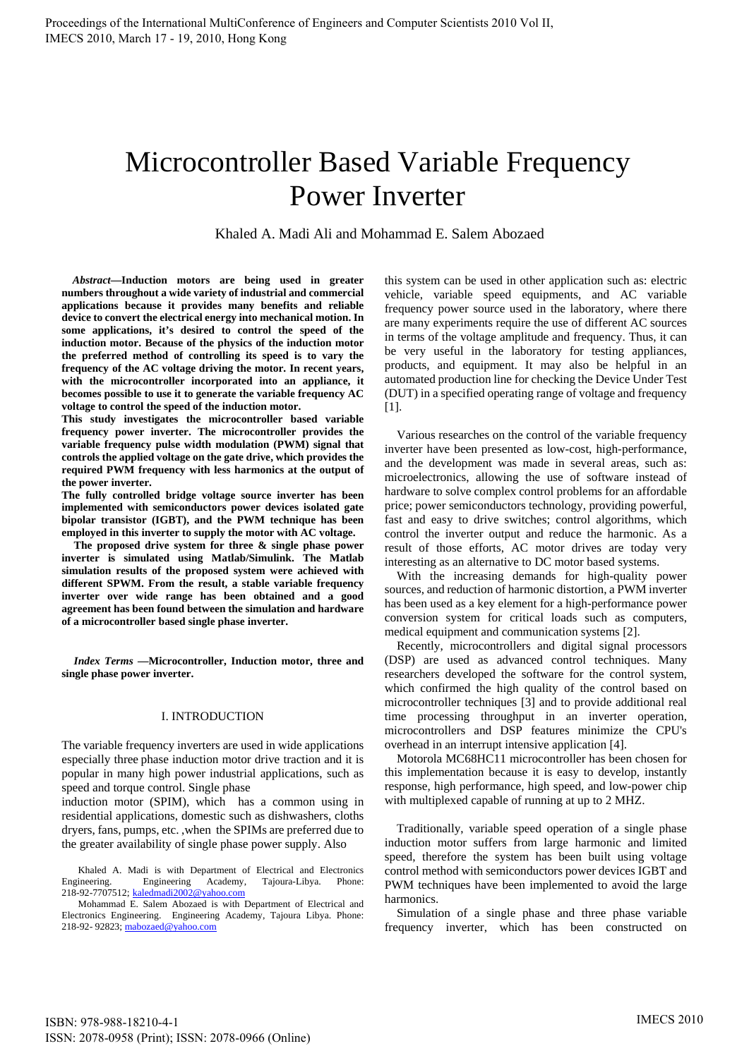# Microcontroller Based Variable Frequency Power Inverter

Khaled A. Madi Ali and Mohammad E. Salem Abozaed

*Abstract***—Induction motors are being used in greater numbers throughout a wide variety of industrial and commercial applications because it provides many benefits and reliable device to convert the electrical energy into mechanical motion. In some applications, it's desired to control the speed of the induction motor. Because of the physics of the induction motor the preferred method of controlling its speed is to vary the frequency of the AC voltage driving the motor. In recent years, with the microcontroller incorporated into an appliance, it becomes possible to use it to generate the variable frequency AC voltage to control the speed of the induction motor.** 

**This study investigates the microcontroller based variable frequency power inverter. The microcontroller provides the variable frequency pulse width modulation (PWM) signal that controls the applied voltage on the gate drive, which provides the required PWM frequency with less harmonics at the output of the power inverter.** 

**The fully controlled bridge voltage source inverter has been implemented with semiconductors power devices isolated gate bipolar transistor (IGBT), and the PWM technique has been employed in this inverter to supply the motor with AC voltage.** 

**The proposed drive system for three & single phase power inverter is simulated using Matlab/Simulink. The Matlab simulation results of the proposed system were achieved with different SPWM. From the result, a stable variable frequency inverter over wide range has been obtained and a good agreement has been found between the simulation and hardware of a microcontroller based single phase inverter.** 

*Index Terms* **—Microcontroller, Induction motor, three and single phase power inverter.** 

# I. INTRODUCTION

The variable frequency inverters are used in wide applications especially three phase induction motor drive traction and it is popular in many high power industrial applications, such as speed and torque control. Single phase

induction motor (SPIM), which has a common using in residential applications, domestic such as dishwashers, cloths dryers, fans, pumps, etc. ,when the SPIMs are preferred due to the greater availability of single phase power supply. Also

Khaled A. Madi is with Department of Electrical and Electronics Engineering. Engineering Academy, Tajoura-Libya. Phone: 218-92-7707512; kaledmadi2002@yahoo.com

Mohammad E. Salem Abozaed is with Department of Electrical and Electronics Engineering. Engineering Academy, Tajoura Libya. Phone: 218-92- 92823; mabozaed@yahoo.com

this system can be used in other application such as: electric vehicle, variable speed equipments, and AC variable frequency power source used in the laboratory, where there are many experiments require the use of different AC sources in terms of the voltage amplitude and frequency. Thus, it can be very useful in the laboratory for testing appliances, products, and equipment. It may also be helpful in an automated production line for checking the Device Under Test (DUT) in a specified operating range of voltage and frequency [1].

Various researches on the control of the variable frequency inverter have been presented as low-cost, high-performance, and the development was made in several areas, such as: microelectronics, allowing the use of software instead of hardware to solve complex control problems for an affordable price; power semiconductors technology, providing powerful, fast and easy to drive switches; control algorithms, which control the inverter output and reduce the harmonic. As a result of those efforts, AC motor drives are today very interesting as an alternative to DC motor based systems.

With the increasing demands for high-quality power sources, and reduction of harmonic distortion, a PWM inverter has been used as a key element for a high-performance power conversion system for critical loads such as computers, medical equipment and communication systems [2].

Recently, microcontrollers and digital signal processors (DSP) are used as advanced control techniques. Many researchers developed the software for the control system, which confirmed the high quality of the control based on microcontroller techniques [3] and to provide additional real time processing throughput in an inverter operation, microcontrollers and DSP features minimize the CPU's overhead in an interrupt intensive application [4].

Motorola MC68HC11 microcontroller has been chosen for this implementation because it is easy to develop, instantly response, high performance, high speed, and low-power chip with multiplexed capable of running at up to 2 MHZ.

Traditionally, variable speed operation of a single phase induction motor suffers from large harmonic and limited speed, therefore the system has been built using voltage control method with semiconductors power devices IGBT and PWM techniques have been implemented to avoid the large harmonics.

Simulation of a single phase and three phase variable frequency inverter, which has been constructed on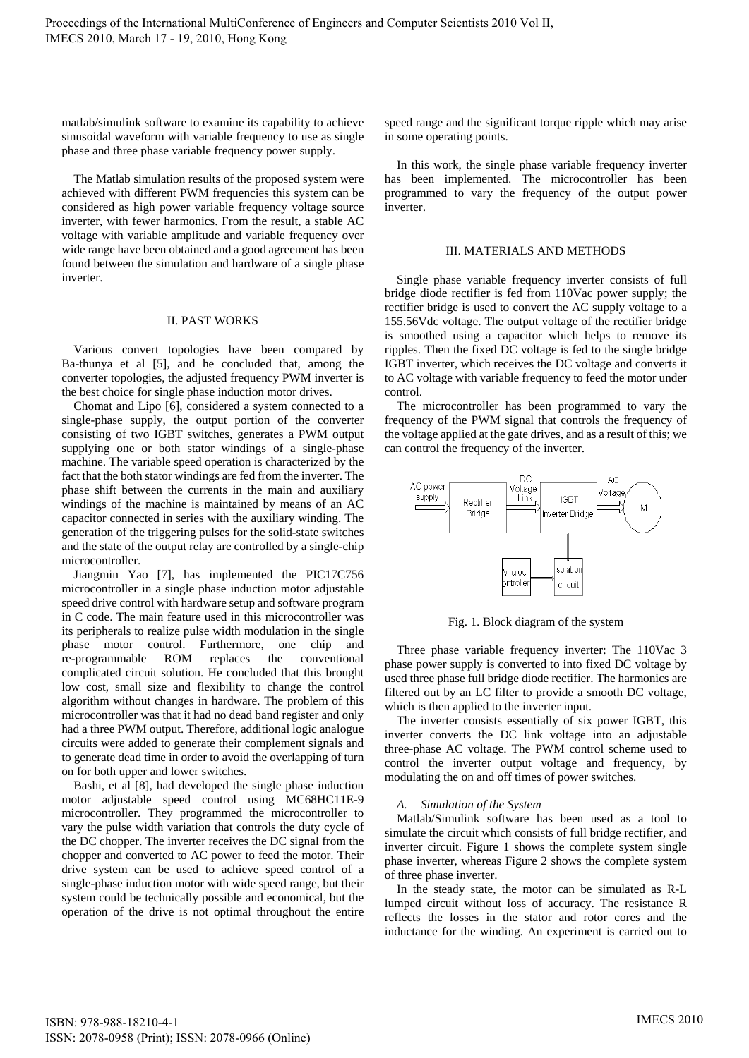matlab/simulink software to examine its capability to achieve sinusoidal waveform with variable frequency to use as single phase and three phase variable frequency power supply.

The Matlab simulation results of the proposed system were achieved with different PWM frequencies this system can be considered as high power variable frequency voltage source inverter, with fewer harmonics. From the result, a stable AC voltage with variable amplitude and variable frequency over wide range have been obtained and a good agreement has been found between the simulation and hardware of a single phase inverter.

## II. PAST WORKS

Various convert topologies have been compared by Ba-thunya et al [5], and he concluded that, among the converter topologies, the adjusted frequency PWM inverter is the best choice for single phase induction motor drives.

Chomat and Lipo [6], considered a system connected to a single-phase supply, the output portion of the converter consisting of two IGBT switches, generates a PWM output supplying one or both stator windings of a single-phase machine. The variable speed operation is characterized by the fact that the both stator windings are fed from the inverter. The phase shift between the currents in the main and auxiliary windings of the machine is maintained by means of an AC capacitor connected in series with the auxiliary winding. The generation of the triggering pulses for the solid-state switches and the state of the output relay are controlled by a single-chip microcontroller.

Jiangmin Yao [7], has implemented the PIC17C756 microcontroller in a single phase induction motor adjustable speed drive control with hardware setup and software program in C code. The main feature used in this microcontroller was its peripherals to realize pulse width modulation in the single phase motor control. Furthermore, one chip and re-programmable ROM replaces the conventional complicated circuit solution. He concluded that this brought low cost, small size and flexibility to change the control algorithm without changes in hardware. The problem of this microcontroller was that it had no dead band register and only had a three PWM output. Therefore, additional logic analogue circuits were added to generate their complement signals and to generate dead time in order to avoid the overlapping of turn on for both upper and lower switches.

Bashi, et al [8], had developed the single phase induction motor adjustable speed control using MC68HC11E-9 microcontroller. They programmed the microcontroller to vary the pulse width variation that controls the duty cycle of the DC chopper. The inverter receives the DC signal from the chopper and converted to AC power to feed the motor. Their drive system can be used to achieve speed control of a single-phase induction motor with wide speed range, but their system could be technically possible and economical, but the operation of the drive is not optimal throughout the entire

speed range and the significant torque ripple which may arise in some operating points.

In this work, the single phase variable frequency inverter has been implemented. The microcontroller has been programmed to vary the frequency of the output power inverter.

## III. MATERIALS AND METHODS

Single phase variable frequency inverter consists of full bridge diode rectifier is fed from 110Vac power supply; the rectifier bridge is used to convert the AC supply voltage to a 155.56Vdc voltage. The output voltage of the rectifier bridge is smoothed using a capacitor which helps to remove its ripples. Then the fixed DC voltage is fed to the single bridge IGBT inverter, which receives the DC voltage and converts it to AC voltage with variable frequency to feed the motor under control.

The microcontroller has been programmed to vary the frequency of the PWM signal that controls the frequency of the voltage applied at the gate drives, and as a result of this; we can control the frequency of the inverter.



Fig. 1. Block diagram of the system

Three phase variable frequency inverter: The 110Vac 3 phase power supply is converted to into fixed DC voltage by used three phase full bridge diode rectifier. The harmonics are filtered out by an LC filter to provide a smooth DC voltage, which is then applied to the inverter input.

The inverter consists essentially of six power IGBT, this inverter converts the DC link voltage into an adjustable three-phase AC voltage. The PWM control scheme used to control the inverter output voltage and frequency, by modulating the on and off times of power switches.

# *A. Simulation of the System*

Matlab/Simulink software has been used as a tool to simulate the circuit which consists of full bridge rectifier, and inverter circuit. Figure 1 shows the complete system single phase inverter, whereas Figure 2 shows the complete system of three phase inverter.

In the steady state, the motor can be simulated as R-L lumped circuit without loss of accuracy. The resistance R reflects the losses in the stator and rotor cores and the inductance for the winding. An experiment is carried out to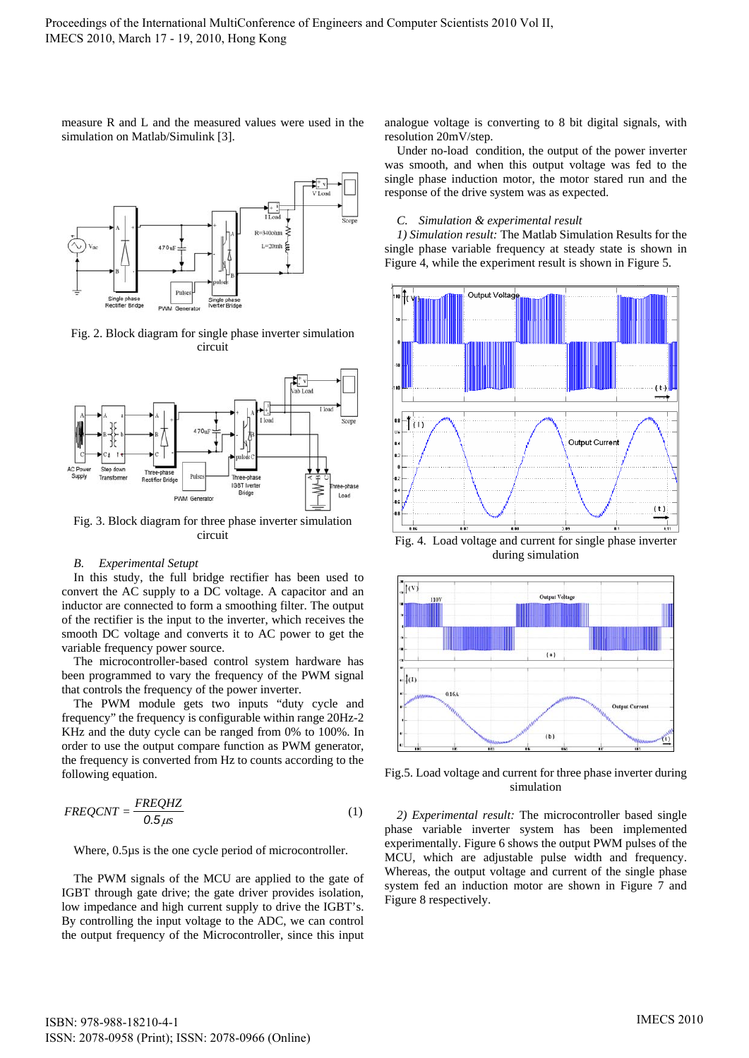measure R and L and the measured values were used in the simulation on Matlab/Simulink [3].



Fig. 2. Block diagram for single phase inverter simulation circuit



Fig. 3. Block diagram for three phase inverter simulation circuit

#### *B. Experimental Setupt*

In this study, the full bridge rectifier has been used to convert the AC supply to a DC voltage. A capacitor and an inductor are connected to form a smoothing filter. The output of the rectifier is the input to the inverter, which receives the smooth DC voltage and converts it to AC power to get the variable frequency power source.

The microcontroller-based control system hardware has been programmed to vary the frequency of the PWM signal that controls the frequency of the power inverter.

The PWM module gets two inputs "duty cycle and frequency" the frequency is configurable within range 20Hz-2 KHz and the duty cycle can be ranged from 0% to 100%. In order to use the output compare function as PWM generator, the frequency is converted from Hz to counts according to the following equation.

$$
FREQCNT = \frac{FREQHZ}{0.5\,\mu s} \tag{1}
$$

Where, 0.5µs is the one cycle period of microcontroller.

The PWM signals of the MCU are applied to the gate of IGBT through gate drive; the gate driver provides isolation, low impedance and high current supply to drive the IGBT's. By controlling the input voltage to the ADC, we can control the output frequency of the Microcontroller, since this input analogue voltage is converting to 8 bit digital signals, with resolution 20mV/step.

Under no-load condition, the output of the power inverter was smooth, and when this output voltage was fed to the single phase induction motor, the motor stared run and the response of the drive system was as expected.

#### *C. Simulation & experimental result*

*1) Simulation result:* The Matlab Simulation Results for the single phase variable frequency at steady state is shown in Figure 4, while the experiment result is shown in Figure 5.



Fig. 4. Load voltage and current for single phase inverter during simulation



Fig.5. Load voltage and current for three phase inverter during simulation

*2) Experimental result:* The microcontroller based single phase variable inverter system has been implemented experimentally. Figure 6 shows the output PWM pulses of the MCU, which are adjustable pulse width and frequency. Whereas, the output voltage and current of the single phase system fed an induction motor are shown in Figure 7 and Figure 8 respectively.